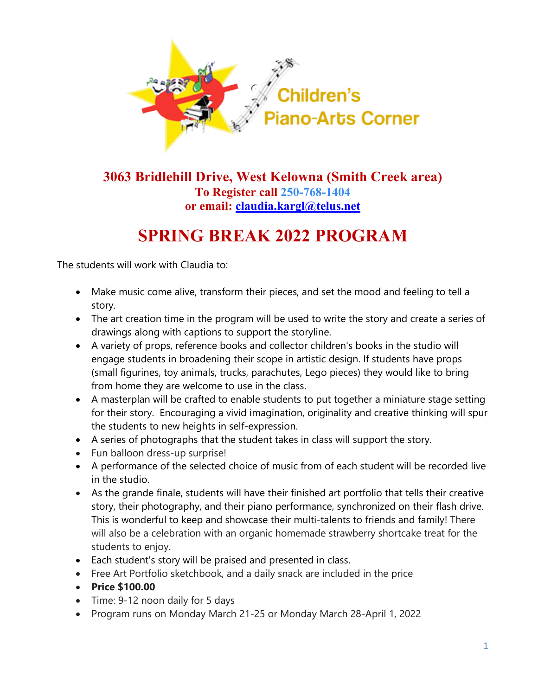

## **3063 Bridlehill Drive, West Kelowna (Smith Creek area) To Register call 250-768-1404 or email: [claudia.kargl@telus.net](mailto:claudia.kargl@telus.net)**

## **SPRING BREAK 2022 PROGRAM**

The students will work with Claudia to:

- Make music come alive, transform their pieces, and set the mood and feeling to tell a story.
- The art creation time in the program will be used to write the story and create a series of drawings along with captions to support the storyline.
- A variety of props, reference books and collector children's books in the studio will engage students in broadening their scope in artistic design. If students have props (small figurines, toy animals, trucks, parachutes, Lego pieces) they would like to bring from home they are welcome to use in the class.
- A masterplan will be crafted to enable students to put together a miniature stage setting for their story. Encouraging a vivid imagination, originality and creative thinking will spur the students to new heights in self-expression.
- A series of photographs that the student takes in class will support the story.
- Fun balloon dress-up surprise!
- A performance of the selected choice of music from of each student will be recorded live in the studio.
- As the grande finale, students will have their finished art portfolio that tells their creative story, their photography, and their piano performance, synchronized on their flash drive. This is wonderful to keep and showcase their multi-talents to friends and family! There will also be a celebration with an organic homemade strawberry shortcake treat for the students to enjoy.
- Each student's story will be praised and presented in class.
- Free Art Portfolio sketchbook, and a daily snack are included in the price
- **Price \$100.00**
- Time: 9-12 noon daily for 5 days
- Program runs on Monday March 21-25 or Monday March 28-April 1, 2022